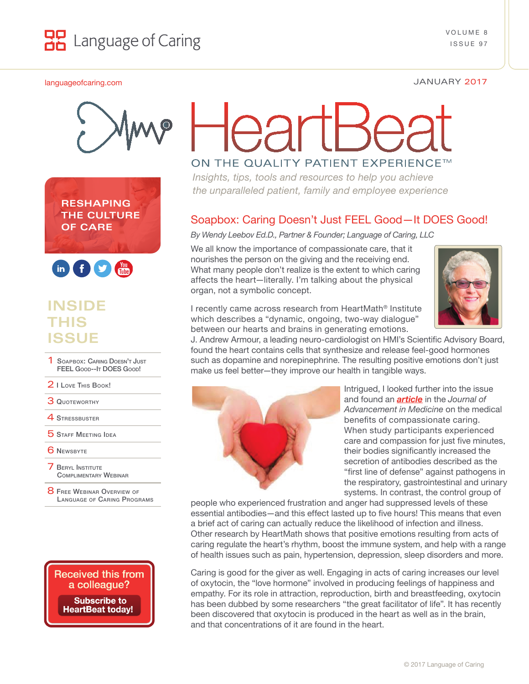

### [languageofcaring.com](http://languageofcaring.com) JANUARY 2017







# **INSIDE THIS ISSUE**

- SOAPBOX: CARING DOESN'T JUST FEEL Good--It DOES Good!
- 2 [I Love](#page-1-0) This Book!
- **3 QUOTEWORTHY**
- **4 STRESSBUSTER**
- **5 STAFF MEETING IDEA**
- **6 NEWSBYTE**
- **7 BERYL INSTITUTE** [Complimentary](#page-2-0) Webinar
- **8 FREE WEBINAR OVERVIEW OF** Language [of Caring](#page-3-0) Programs



# ON THE QUALITY PATIENT EXPERIENCE™

*Insights, tips, tools and resources to help you achieve the unparalleled patient, family and employee experience*

### Soapbox: Caring Doesn't Just FEEL Good—It DOES Good!

*By Wendy Leebov Ed.D., Partner & Founder; Language of Caring, LLC*

We all know the importance of compassionate care, that it nourishes the person on the giving and the receiving end. What many people don't realize is the extent to which caring affects the heart—literally. I'm talking about the physical organ, not a symbolic concept.



I recently came across research from HeartMath® Institute which describes a "dynamic, ongoing, two-way dialogue" between our hearts and brains in generating emotions.

J. Andrew Armour, a leading neuro-cardiologist on HMI's Scientific Advisory Board, found the heart contains cells that synthesize and release feel-good hormones such as dopamine and norepinephrine. The resulting positive emotions don't just make us feel better—they improve our health in tangible ways.



Intrigued, I looked further into the issue and found an *[article](http://www.heartmathbenelux.com/doc/compassion-and-anger.pdf)* in the *Journal of Advancement in Medicine* on the medical benefits of compassionate caring. When study participants experienced care and compassion for just five minutes, their bodies significantly increased the secretion of antibodies described as the "first line of defense" against pathogens in the respiratory, gastrointestinal and urinary systems. In contrast, the control group of

people who experienced frustration and anger had suppressed levels of these essential antibodies—and this effect lasted up to five hours! This means that even a brief act of caring can actually reduce the likelihood of infection and illness. Other research by HeartMath shows that positive emotions resulting from acts of caring regulate the heart's rhythm, boost the immune system, and help with a range of health issues such as pain, hypertension, depression, sleep disorders and more.

Caring is good for the giver as well. Engaging in acts of caring increases our level of oxytocin, the "love hormone" involved in producing feelings of happiness and empathy. For its role in attraction, reproduction, birth and breastfeeding, oxytocin has been dubbed by some researchers "the great facilitator of life". It has recently been discovered that oxytocin is produced in the heart as well as in the brain, and that concentrations of it are found in the heart.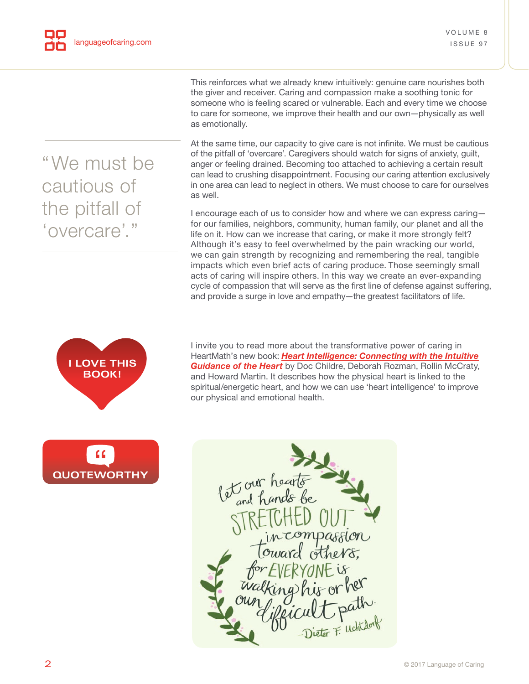This reinforces what we already knew intuitively: genuine care nourishes both the giver and receiver. Caring and compassion make a soothing tonic for someone who is feeling scared or vulnerable. Each and every time we choose to care for someone, we improve their health and our own—physically as well as emotionally.

At the same time, our capacity to give care is not infinite. We must be cautious of the pitfall of 'overcare'. Caregivers should watch for signs of anxiety, guilt, anger or feeling drained. Becoming too attached to achieving a certain result can lead to crushing disappointment. Focusing our caring attention exclusively in one area can lead to neglect in others. We must choose to care for ourselves as well.

I encourage each of us to consider how and where we can express caring for our families, neighbors, community, human family, our planet and all the life on it. How can we increase that caring, or make it more strongly felt? Although it's easy to feel overwhelmed by the pain wracking our world, we can gain strength by recognizing and remembering the real, tangible impacts which even brief acts of caring produce. Those seemingly small acts of caring will inspire others. In this way we create an ever-expanding cycle of compassion that will serve as the first line of defense against suffering, and provide a surge in love and empathy—the greatest facilitators of life.



I invite you to read more about the transformative power of caring in HeartMath's new book: *[Heart Intelligence: Connecting with the Intuitive](https://www.heartmath.org/calendar-of-events/new-heart-intelligence-book/)  Guidance of the Heart* by Doc Childre, Deborah Rozman, Rollin McCraty, and Howard Martin. It describes how the physical heart is linked to the spiritual/energetic heart, and how we can use 'heart intelligence' to improve our physical and emotional health.





# <span id="page-1-0"></span>"We must be cautious of the pitfall of 'overcare'."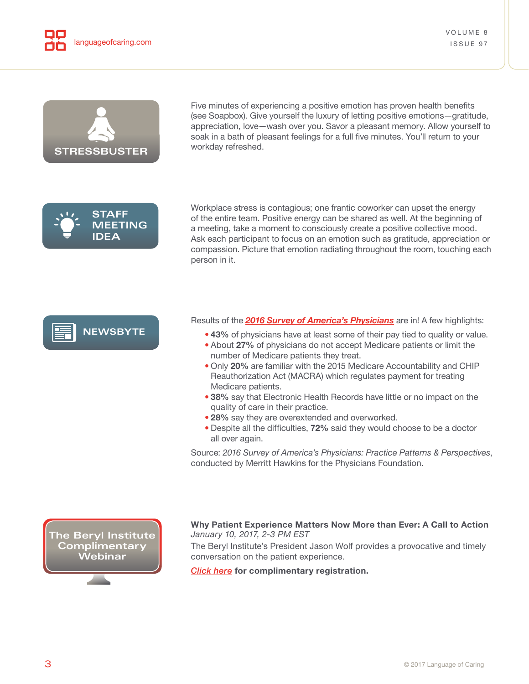<span id="page-2-0"></span>



Five minutes of experiencing a positive emotion has proven health benefits (see Soapbox). Give yourself the luxury of letting positive emotions—gratitude, appreciation, love—wash over you. Savor a pleasant memory. Allow yourself to soak in a bath of pleasant feelings for a full five minutes. You'll return to your workday refreshed.



Workplace stress is contagious; one frantic coworker can upset the energy of the entire team. Positive energy can be shared as well. At the beginning of a meeting, take a moment to consciously create a positive collective mood. Ask each participant to focus on an emotion such as gratitude, appreciation or compassion. Picture that emotion radiating throughout the room, touching each person in it.

# **NEWSBYTE**

Results of the *[2016 Survey of America's Physicians](http://www.physiciansfoundation.org/uploads/default/Biennial_Physician_Survey_2016.pdf)* are in! A few highlights:

- **43%** of physicians have at least some of their pay tied to quality or value.
- About **27%** of physicians do not accept Medicare patients or limit the number of Medicare patients they treat.
- Only **20%** are familiar with the 2015 Medicare Accountability and CHIP Reauthorization Act (MACRA) which regulates payment for treating Medicare patients.
- **38%** say that Electronic Health Records have little or no impact on the quality of care in their practice.
- **28%** say they are overextended and overworked.
- Despite all the difficulties, **72%** said they would choose to be a doctor all over again.

Source: *2016 Survey of America's Physicians: Practice Patterns & Perspectives*, conducted by Merritt Hawkins for the Physicians Foundation.

**The Beryl Institute Complimentary Webinar**



The Beryl Institute's President Jason Wolf provides a provocative and timely conversation on the patient experience.

*[Click here](http://www.theberylinstitute.org/events/EventDetails.aspx?id=904609)* **for complimentary registration.**